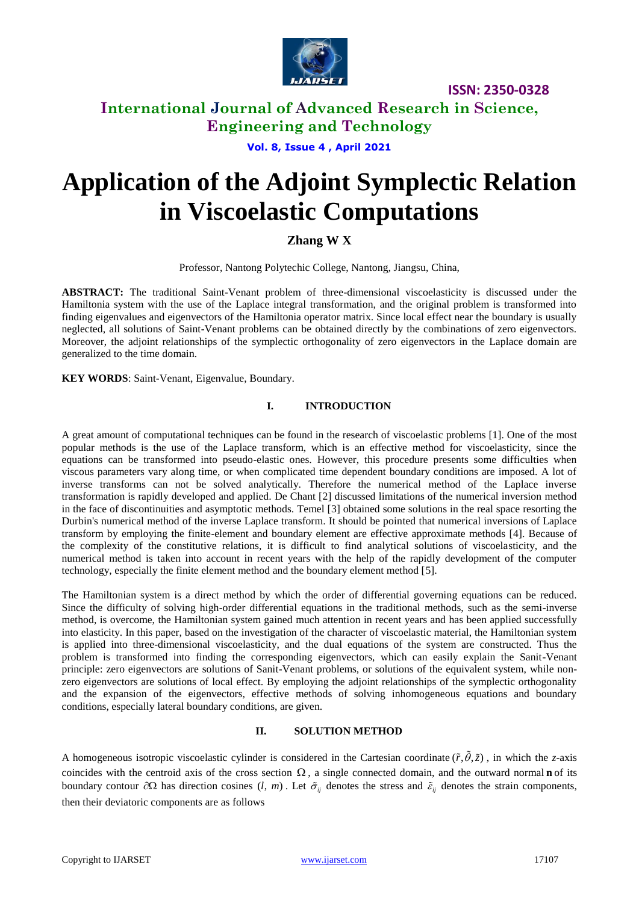

**ISSN: 2350-0328**

## **International Journal of Advanced Research in Science, Engineering and Technology**

**Vol. 8, Issue 4 , April 2021**

# **Application of the Adjoint Symplectic Relation in Viscoelastic Computations**

**Zhang W X**

Professor, Nantong Polytechic College, Nantong, Jiangsu, China,

**ABSTRACT:** The traditional Saint-Venant problem of three-dimensional viscoelasticity is discussed under the Hamiltonia system with the use of the Laplace integral transformation, and the original problem is transformed into finding eigenvalues and eigenvectors of the Hamiltonia operator matrix. Since local effect near the boundary is usually neglected, all solutions of Saint-Venant problems can be obtained directly by the combinations of zero eigenvectors. Moreover, the adjoint relationships of the symplectic orthogonality of zero eigenvectors in the Laplace domain are generalized to the time domain.

**KEY WORDS**: Saint-Venant, Eigenvalue, Boundary.

### **I. INTRODUCTION**

A great amount of computational techniques can be found in the research of viscoelastic problems [1]. One of the most popular methods is the use of the Laplace transform, which is an effective method for viscoelasticity, since the equations can be transformed into pseudo-elastic ones. However, this procedure presents some difficulties when viscous parameters vary along time, or when complicated time dependent boundary conditions are imposed. A lot of inverse transforms can not be solved analytically. Therefore the numerical method of the Laplace inverse transformation is rapidly developed and applied. De Chant [2] discussed limitations of the numerical inversion method in the face of discontinuities and asymptotic methods. Temel [3] obtained some solutions in the real space resorting the Durbin's numerical method of the inverse Laplace transform. It should be pointed that numerical inversions of Laplace transform by employing the finite-element and boundary element are effective approximate methods [4]. Because of the complexity of the constitutive relations, it is difficult to find analytical solutions of viscoelasticity, and the numerical method is taken into account in recent years with the help of the rapidly development of the computer technology, especially the finite element method and the boundary element method [5].

The Hamiltonian system is a direct method by which the order of differential governing equations can be reduced. Since the difficulty of solving high-order differential equations in the traditional methods, such as the semi-inverse method, is overcome, the Hamiltonian system gained much attention in recent years and has been applied successfully into elasticity. In this paper, based on the investigation of the character of viscoelastic material, the Hamiltonian system is applied into three-dimensional viscoelasticity, and the dual equations of the system are constructed. Thus the problem is transformed into finding the corresponding eigenvectors, which can easily explain the Sanit-Venant principle: zero eigenvectors are solutions of Sanit-Venant problems, or solutions of the equivalent system, while nonzero eigenvectors are solutions of local effect. By employing the adjoint relationships of the symplectic orthogonality and the expansion of the eigenvectors, effective methods of solving inhomogeneous equations and boundary conditions, especially lateral boundary conditions, are given.

### **II. SOLUTION METHOD**

A homogeneous isotropic viscoelastic cylinder is considered in the Cartesian coordinate  $(\tilde{r}, \tilde{\theta}, \tilde{z})$ , in which the *z*-axis coincides with the centroid axis of the cross section  $\Omega$ , a single connected domain, and the outward normal **n** of its boundary contour  $\partial\Omega$  has direction cosines  $(l, m)$ . Let  $\tilde{\sigma}_{ij}$  denotes the stress and  $\tilde{\varepsilon}_{ij}$  denotes the strain components, then their deviatoric components are as follows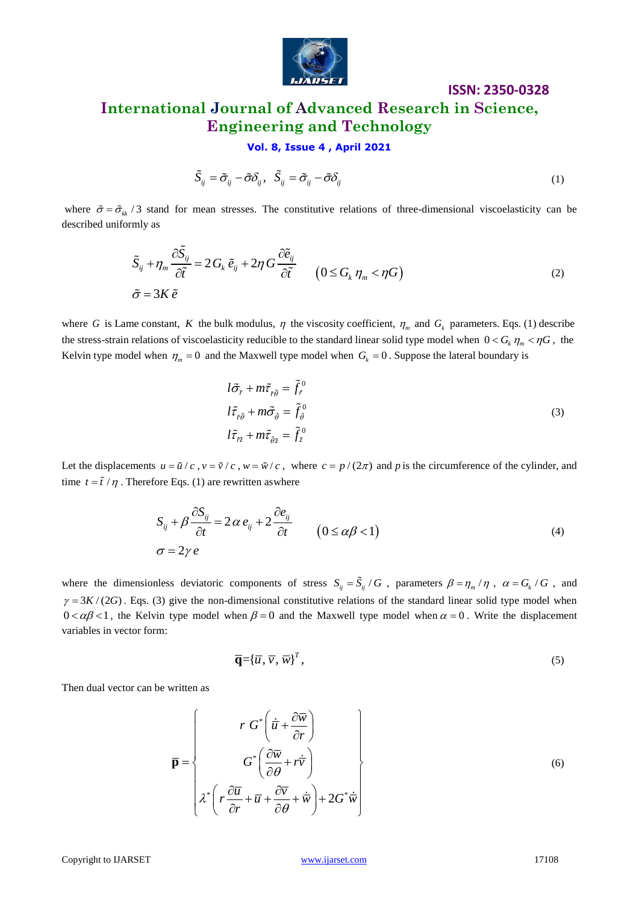

# **ISSN: 2350-0328 International Journal of Advanced Research in Science, Engineering and Technology**

**Vol. 8, Issue 4 , April 2021**

$$
\tilde{S}_{ij} = \tilde{\sigma}_{ij} - \tilde{\sigma} \delta_{ij}, \quad \tilde{S}_{ij} = \tilde{\sigma}_{ij} - \tilde{\sigma} \delta_{ij}
$$
\n(1)

where  $\tilde{\sigma} = \tilde{\sigma}_{kk}$  /3 stand for mean stresses. The constitutive relations of three-dimensional viscoelasticity can be described uniformly as

mly as  
\n
$$
\tilde{S}_{ij} + \eta_m \frac{\partial \tilde{S}_{ij}}{\partial \tilde{t}} = 2 G_k \tilde{e}_{ij} + 2 \eta G \frac{\partial \tilde{e}_{ij}}{\partial \tilde{t}} \qquad (0 \le G_k \eta_m < \eta G)
$$
\n
$$
\tilde{\sigma} = 3K \tilde{e} \qquad (2)
$$

where G is Lame constant, K the bulk modulus,  $\eta$  the viscosity coefficient,  $\eta_m$  and  $G_k$  parameters. Eqs. (1) describe the stress-strain relations of viscoelasticity reducible to the standard linear solid type model when  $0 < G_k \eta_m < \eta G$ , the Kelvin type model when  $\eta_m = 0$  and the Maxwell type model when  $G_k = 0$ . Suppose the lateral boundary is

$$
l\tilde{\sigma}_{\tilde{r}} + m\tilde{\tau}_{\tilde{r}\tilde{\theta}} = \tilde{f}_{\tilde{r}}^0
$$
  
\n
$$
l\tilde{\tau}_{\tilde{r}\tilde{\theta}} + m\tilde{\sigma}_{\tilde{\theta}} = \tilde{f}_{\tilde{\theta}}^0
$$
  
\n
$$
l\tilde{\tau}_{\tilde{r}\tilde{z}} + m\tilde{\tau}_{\tilde{\theta}\tilde{z}} = \tilde{f}_{\tilde{z}}^0
$$
\n(3)

Let the displacements  $u = \tilde{u}/c$ ,  $v = \tilde{v}/c$ ,  $w = \tilde{w}/c$ , where  $c = p/(2\pi)$  and p is the [circumference](http://www.iciba.com/search?s=circumference) of the cylinder, and time  $t = \tilde{t} / \eta$ . Therefore Eqs. (1) are rewritten as where

$$
S_{ij} + \beta \frac{\partial S_{ij}}{\partial t} = 2\alpha e_{ij} + 2\frac{\partial e_{ij}}{\partial t} \qquad (0 \le \alpha \beta < 1)
$$
  
\n
$$
\sigma = 2\gamma e \qquad (4)
$$

where the dimensionless deviatoric components of stress  $S_{ij} = \tilde{S}_{ij}/G$ , parameters  $\beta = \eta_m/\eta$ ,  $\alpha = G_k/G$ , and  $\gamma = 3K/(2G)$ . Eqs. (3) give the non-dimensional constitutive relations of the standard linear solid type model when  $0 < \alpha \beta < 1$ , the Kelvin type model when  $\beta = 0$  and the Maxwell type model when  $\alpha = 0$ . Write the displacement variables in vector form:

$$
\overline{\mathbf{q}} = {\overline{u}, \overline{v}, \overline{w}}^T, \tag{5}
$$

Then dual vector can be written as

$$
\overline{\mathbf{p}} = \begin{Bmatrix} r G^* \left( \dot{\overline{u}} + \frac{\partial \overline{w}}{\partial r} \right) \\ G^* \left( \frac{\partial \overline{w}}{\partial \theta} + r \dot{\overline{v}} \right) \\ \lambda^* \left( r \frac{\partial \overline{u}}{\partial r} + \overline{u} + \frac{\partial \overline{v}}{\partial \theta} + \dot{\overline{w}} \right) + 2G^* \dot{\overline{w}} \end{Bmatrix}
$$
(6)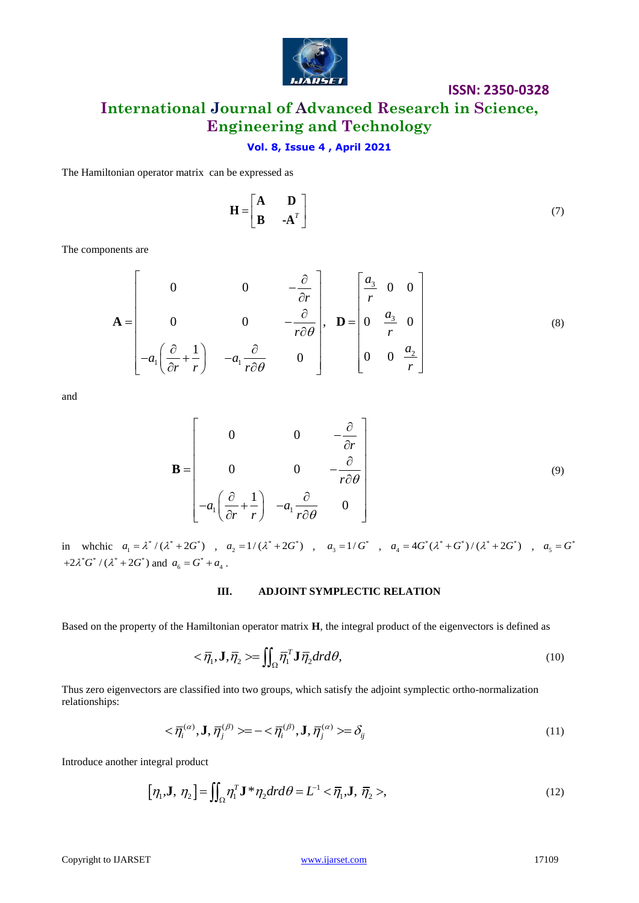

### **ISSN: 2350-0328**

# **International Journal of Advanced Research in Science, Engineering and Technology**

### **Vol. 8, Issue 4 , April 2021**

The Hamiltonian operator matrix can be expressed as

$$
\mathbf{H} = \begin{bmatrix} \mathbf{A} & \mathbf{D} \\ \mathbf{B} & -\mathbf{A}^T \end{bmatrix} \tag{7}
$$

The components are

nents are  
\n
$$
\mathbf{A} = \begin{bmatrix}\n0 & 0 & -\frac{\partial}{\partial r} \\
0 & 0 & -\frac{\partial}{r\partial \theta} \\
-a_1\left(\frac{\partial}{\partial r} + \frac{1}{r}\right) & -a_1\frac{\partial}{r\partial \theta} & 0\n\end{bmatrix}, \quad \mathbf{D} = \begin{bmatrix}\n\frac{a_3}{r} & 0 & 0 \\
0 & \frac{a_3}{r} & 0 \\
0 & 0 & \frac{a_2}{r}\n\end{bmatrix}
$$
\n(8)

and

$$
\mathbf{B} = \begin{bmatrix} 0 & 0 & -\frac{\partial}{\partial r} \\ 0 & 0 & -\frac{\partial}{r\partial \theta} \\ -a_1\left(\frac{\partial}{\partial r} + \frac{1}{r}\right) & -a_1\frac{\partial}{r\partial \theta} & 0 \end{bmatrix}
$$
(9)

in whchic  $a_1 = \lambda^* / (\lambda^* + 2G^*)$ ,  $a_2 = 1/(\lambda^* + 2G^*)$ ,  $a_3 = 1/G^*$ ,  $a_4 = 4G^* (\lambda^* + G^*) / (\lambda^* + 2G^*)$ ,  $a_5 = G^*$  $+2\lambda^*G^* / (\lambda^* + 2G^*)$  and  $a_6 = G^* + a_4$ .

#### **III. ADJOINT SYMPLECTIC RELATION**

Based on the property of the Hamiltonian operator matrix **H**, the integral product of the eigenvectors is defined as

$$
\langle \overline{\eta}_1, \mathbf{J}, \overline{\eta}_2 \rangle = \iint_{\Omega} \overline{\eta}_1^T \mathbf{J} \overline{\eta}_2 dr d\theta, \tag{10}
$$

Thus zero eigenvectors are classified into two groups, which satisfy the adjoint symplectic ortho-normalization relationships:

$$
\langle \overline{\eta}_i^{(\alpha)}, \mathbf{J}, \overline{\eta}_j^{(\beta)} \rangle = -\langle \overline{\eta}_i^{(\beta)}, \mathbf{J}, \overline{\eta}_j^{(\alpha)} \rangle = \delta_{ij}
$$
\n(11)

Introduce another integral product

$$
[\eta_1, \mathbf{J}, \eta_2] = \iint_{\Omega} \eta_1^T \mathbf{J}^* \eta_2 dr d\theta = L^{-1} < \overline{\eta}_1, \mathbf{J}, \overline{\eta}_2>,
$$
\n(12)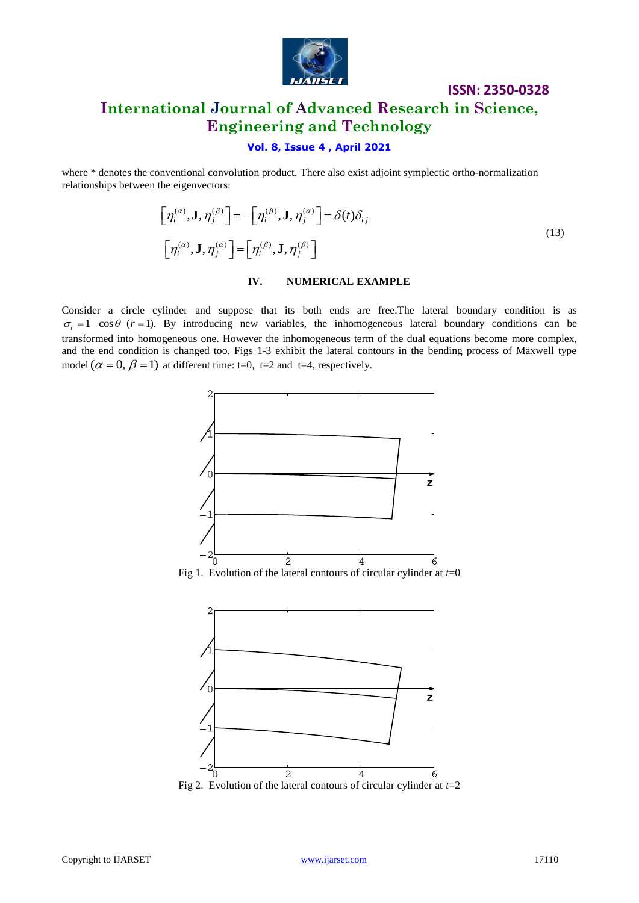

# **International Journal of Advanced Research in Science, Engineering and Technology**

### **Vol. 8, Issue 4 , April 2021**

where \* denotes the conventional convolution product. There also exist adjoint symplectic ortho-normalization relationships between the eigenvectors:

$$
\begin{aligned}\n\left[\eta_i^{(\alpha)}, \mathbf{J}, \eta_j^{(\beta)}\right] &= -\left[\eta_i^{(\beta)}, \mathbf{J}, \eta_j^{(\alpha)}\right] = \delta(t)\delta_{ij} \\
\left[\eta_i^{(\alpha)}, \mathbf{J}, \eta_j^{(\alpha)}\right] &= \left[\eta_i^{(\beta)}, \mathbf{J}, \eta_j^{(\beta)}\right]\n\end{aligned} \tag{13}
$$

**ISSN: 2350-0328**

### **IV. NUMERICAL EXAMPLE**

Consider a circle cylinder and suppose that its both ends are free.The lateral boundary condition is as  $\sigma_r = 1 - \cos \theta$  ( $r = 1$ ). By introducing new variables, the inhomogeneous lateral boundary conditions can be transformed into homogeneous one. However the inhomogeneous term of the dual equations become more complex, and the end condition is changed too. Figs 1-3 exhibit the lateral contours in the bending process of Maxwell type model  $(\alpha = 0, \beta = 1)$  at different time: t=0, t=2 and t=4, respectively.